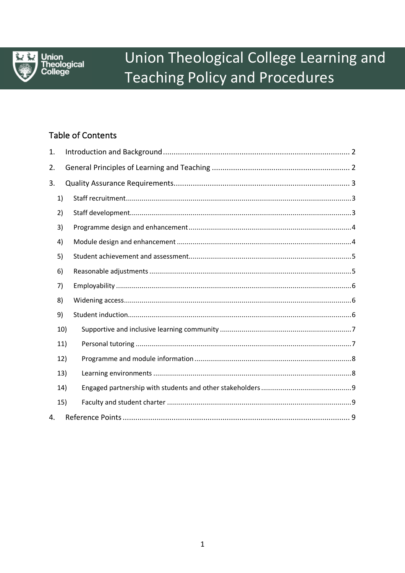

# Union Theological College Learning and **Teaching Policy and Procedures**

# **Table of Contents**

| 1.  |     |
|-----|-----|
| 2.  |     |
| 3.  |     |
| 1)  |     |
| 2)  |     |
| 3)  |     |
| 4)  |     |
| 5)  |     |
| 6)  |     |
| 7)  |     |
| 8)  |     |
| 9)  |     |
|     | 10) |
|     | 11) |
|     | 12) |
|     | 13) |
|     | 14) |
| 15) |     |
| 4.  |     |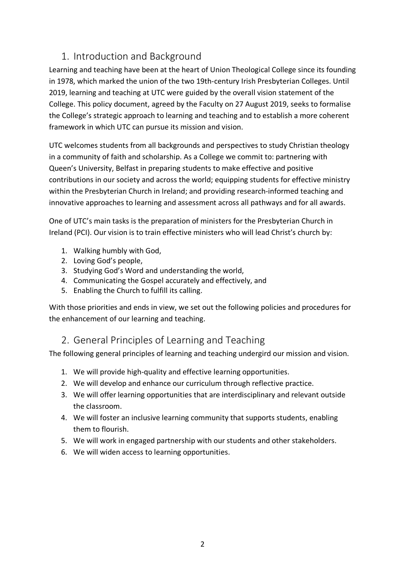# 1. Introduction and Background

Learning and teaching have been at the heart of Union Theological College since its founding in 1978, which marked the union of the two 19th-century Irish Presbyterian Colleges. Until 2019, learning and teaching at UTC were guided by the overall vision statement of the College. This policy document, agreed by the Faculty on 27 August 2019, seeks to formalise the College's strategic approach to learning and teaching and to establish a more coherent framework in which UTC can pursue its mission and vision.

UTC welcomes students from all backgrounds and perspectives to study Christian theology in a community of faith and scholarship. As a College we commit to: partnering with Queen's University, Belfast in preparing students to make effective and positive contributions in our society and across the world; equipping students for effective ministry within the Presbyterian Church in Ireland; and providing research-informed teaching and innovative approaches to learning and assessment across all pathways and for all awards.

One of UTC's main tasks is the preparation of ministers for the Presbyterian Church in Ireland (PCI). Our vision is to train effective ministers who will lead Christ's church by:

- 1. Walking humbly with God,
- 2. Loving God's people,
- 3. Studying God's Word and understanding the world,
- 4. Communicating the Gospel accurately and effectively, and
- 5. Enabling the Church to fulfill its calling.

With those priorities and ends in view, we set out the following policies and procedures for the enhancement of our learning and teaching.

# 2. General Principles of Learning and Teaching

The following general principles of learning and teaching undergird our mission and vision.

- 1. We will provide high-quality and effective learning opportunities.
- 2. We will develop and enhance our curriculum through reflective practice.
- 3. We will offer learning opportunities that are interdisciplinary and relevant outside the classroom.
- 4. We will foster an inclusive learning community that supports students, enabling them to flourish.
- 5. We will work in engaged partnership with our students and other stakeholders.
- 6. We will widen access to learning opportunities.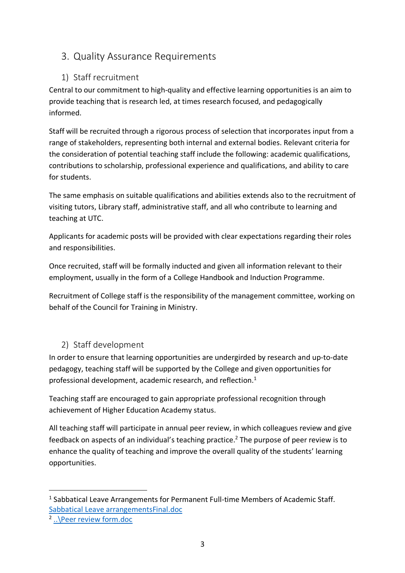# 3. Quality Assurance Requirements

## 1) Staff recruitment

Central to our commitment to high-quality and effective learning opportunities is an aim to provide teaching that is research led, at times research focused, and pedagogically informed.

Staff will be recruited through a rigorous process of selection that incorporates input from a range of stakeholders, representing both internal and external bodies. Relevant criteria for the consideration of potential teaching staff include the following: academic qualifications, contributions to scholarship, professional experience and qualifications, and ability to care for students.

The same emphasis on suitable qualifications and abilities extends also to the recruitment of visiting tutors, Library staff, administrative staff, and all who contribute to learning and teaching at UTC.

Applicants for academic posts will be provided with clear expectations regarding their roles and responsibilities.

Once recruited, staff will be formally inducted and given all information relevant to their employment, usually in the form of a College Handbook and Induction Programme.

Recruitment of College staff is the responsibility of the management committee, working on behalf of the Council for Training in Ministry.

# 2) Staff development

In order to ensure that learning opportunities are undergirded by research and up-to-date pedagogy, teaching staff will be supported by the College and given opportunities for professional development, academic research, and reflection.<sup>1</sup>

Teaching staff are encouraged to gain appropriate professional recognition through achievement of Higher Education Academy status.

All teaching staff will participate in annual peer review, in which colleagues review and give feedback on aspects of an individual's teaching practice.<sup>2</sup> The purpose of peer review is to enhance the quality of teaching and improve the overall quality of the students' learning opportunities.

<sup>&</sup>lt;sup>1</sup> Sabbatical Leave Arrangements for Permanent Full-time Members of Academic Staff. Sabbatical Leave arrangementsFinal.doc

<sup>2</sup> ..\Peer review form.doc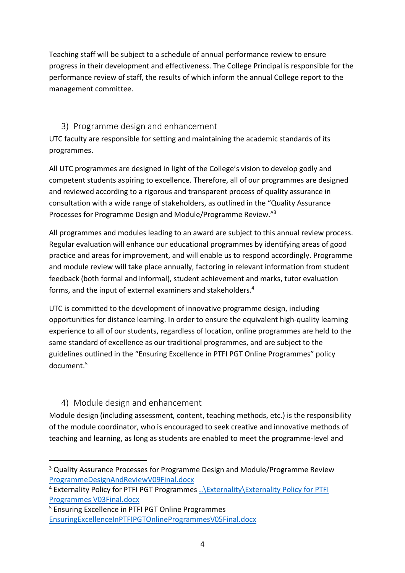Teaching staff will be subject to a schedule of annual performance review to ensure progress in their development and effectiveness. The College Principal is responsible for the performance review of staff, the results of which inform the annual College report to the management committee.

#### 3) Programme design and enhancement

UTC faculty are responsible for setting and maintaining the academic standards of its programmes.

All UTC programmes are designed in light of the College's vision to develop godly and competent students aspiring to excellence. Therefore, all of our programmes are designed and reviewed according to a rigorous and transparent process of quality assurance in consultation with a wide range of stakeholders, as outlined in the "Quality Assurance Processes for Programme Design and Module/Programme Review."3

All programmes and modules leading to an award are subject to this annual review process. Regular evaluation will enhance our educational programmes by identifying areas of good practice and areas for improvement, and will enable us to respond accordingly. Programme and module review will take place annually, factoring in relevant information from student feedback (both formal and informal), student achievement and marks, tutor evaluation forms, and the input of external examiners and stakeholders.4

UTC is committed to the development of innovative programme design, including opportunities for distance learning. In order to ensure the equivalent high-quality learning experience to all of our students, regardless of location, online programmes are held to the same standard of excellence as our traditional programmes, and are subject to the guidelines outlined in the "Ensuring Excellence in PTFI PGT Online Programmes" policy document.5

#### 4) Module design and enhancement

Module design (including assessment, content, teaching methods, etc.) is the responsibility of the module coordinator, who is encouraged to seek creative and innovative methods of teaching and learning, as long as students are enabled to meet the programme-level and

<sup>&</sup>lt;sup>3</sup> Quality Assurance Processes for Programme Design and Module/Programme Review ProgrammeDesignAndReviewV09Final.docx

<sup>4</sup> Externality Policy for PTFI PGT Programmes ..\Externality\Externality Policy for PTFI Programmes V03Final.docx

<sup>5</sup> Ensuring Excellence in PTFI PGT Online Programmes EnsuringExcellenceInPTFIPGTOnlineProgrammesV05Final.docx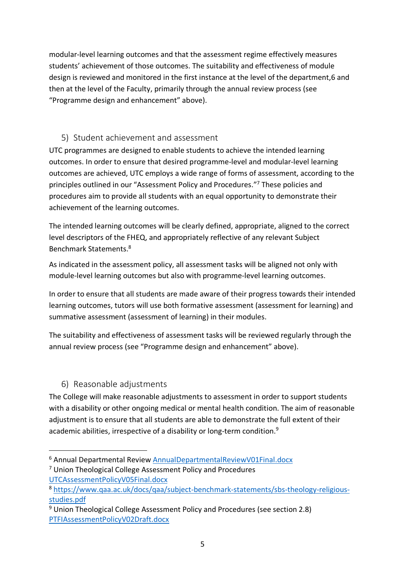modular-level learning outcomes and that the assessment regime effectively measures students' achievement of those outcomes. The suitability and effectiveness of module design is reviewed and monitored in the first instance at the level of the department,6 and then at the level of the Faculty, primarily through the annual review process (see "Programme design and enhancement" above).

#### 5) Student achievement and assessment

UTC programmes are designed to enable students to achieve the intended learning outcomes. In order to ensure that desired programme-level and modular-level learning outcomes are achieved, UTC employs a wide range of forms of assessment, according to the principles outlined in our "Assessment Policy and Procedures."7 These policies and procedures aim to provide all students with an equal opportunity to demonstrate their achievement of the learning outcomes.

The intended learning outcomes will be clearly defined, appropriate, aligned to the correct level descriptors of the FHEQ, and appropriately reflective of any relevant Subject Benchmark Statements.8

As indicated in the assessment policy, all assessment tasks will be aligned not only with module-level learning outcomes but also with programme-level learning outcomes.

In order to ensure that all students are made aware of their progress towards their intended learning outcomes, tutors will use both formative assessment (assessment for learning) and summative assessment (assessment of learning) in their modules.

The suitability and effectiveness of assessment tasks will be reviewed regularly through the annual review process (see "Programme design and enhancement" above).

#### 6) Reasonable adjustments

The College will make reasonable adjustments to assessment in order to support students with a disability or other ongoing medical or mental health condition. The aim of reasonable adjustment is to ensure that all students are able to demonstrate the full extent of their academic abilities, irrespective of a disability or long-term condition.<sup>9</sup>

 <sup>6</sup> Annual Departmental Review AnnualDepartmentalReviewV01Final.docx

<sup>7</sup> Union Theological College Assessment Policy and Procedures UTCAssessmentPolicyV05Final.docx

<sup>8</sup> https://www.qaa.ac.uk/docs/qaa/subject-benchmark-statements/sbs-theology-religiousstudies.pdf

<sup>9</sup> Union Theological College Assessment Policy and Procedures (see section 2.8) PTFIAssessmentPolicyV02Draft.docx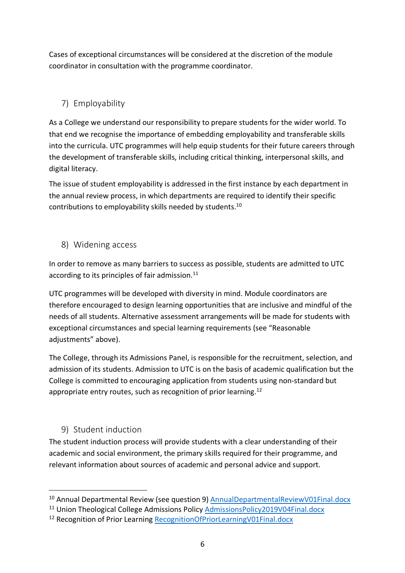Cases of exceptional circumstances will be considered at the discretion of the module coordinator in consultation with the programme coordinator.

## 7) Employability

As a College we understand our responsibility to prepare students for the wider world. To that end we recognise the importance of embedding employability and transferable skills into the curricula. UTC programmes will help equip students for their future careers through the development of transferable skills, including critical thinking, interpersonal skills, and digital literacy.

The issue of student employability is addressed in the first instance by each department in the annual review process, in which departments are required to identify their specific contributions to employability skills needed by students.10

#### 8) Widening access

In order to remove as many barriers to success as possible, students are admitted to UTC according to its principles of fair admission.<sup>11</sup>

UTC programmes will be developed with diversity in mind. Module coordinators are therefore encouraged to design learning opportunities that are inclusive and mindful of the needs of all students. Alternative assessment arrangements will be made for students with exceptional circumstances and special learning requirements (see "Reasonable adiustments" above).

The College, through its Admissions Panel, is responsible for the recruitment, selection, and admission of its students. Admission to UTC is on the basis of academic qualification but the College is committed to encouraging application from students using non-standard but appropriate entry routes, such as recognition of prior learning. $^{12}$ 

#### 9) Student induction

The student induction process will provide students with a clear understanding of their academic and social environment, the primary skills required for their programme, and relevant information about sources of academic and personal advice and support.

<sup>&</sup>lt;sup>10</sup> Annual Departmental Review (see question 9) AnnualDepartmentalReviewV01Final.docx

<sup>&</sup>lt;sup>11</sup> Union Theological College Admissions Policy AdmissionsPolicy2019V04Final.docx

<sup>&</sup>lt;sup>12</sup> Recognition of Prior Learning RecognitionOfPriorLearningV01Final.docx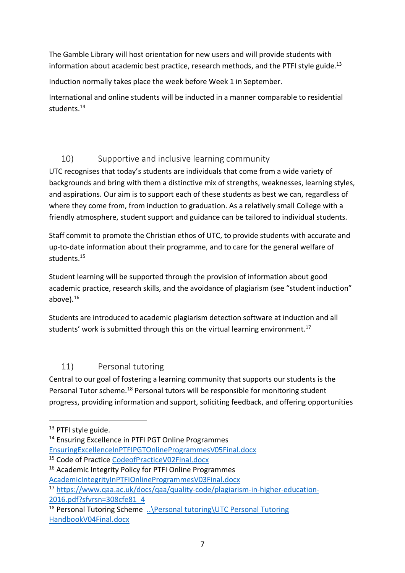The Gamble Library will host orientation for new users and will provide students with information about academic best practice, research methods, and the PTFI style guide.<sup>13</sup>

Induction normally takes place the week before Week 1 in September.

International and online students will be inducted in a manner comparable to residential students. 14

#### 10) Supportive and inclusive learning community

UTC recognises that today's students are individuals that come from a wide variety of backgrounds and bring with them a distinctive mix of strengths, weaknesses, learning styles, and aspirations. Our aim is to support each of these students as best we can, regardless of where they come from, from induction to graduation. As a relatively small College with a friendly atmosphere, student support and guidance can be tailored to individual students.

Staff commit to promote the Christian ethos of UTC, to provide students with accurate and up-to-date information about their programme, and to care for the general welfare of students.15

Student learning will be supported through the provision of information about good academic practice, research skills, and the avoidance of plagiarism (see "student induction" above). $16$ 

Students are introduced to academic plagiarism detection software at induction and all students' work is submitted through this on the virtual learning environment.<sup>17</sup>

#### 11) Personal tutoring

Central to our goal of fostering a learning community that supports our students is the Personal Tutor scheme.18 Personal tutors will be responsible for monitoring student progress, providing information and support, soliciting feedback, and offering opportunities

<sup>&</sup>lt;sup>13</sup> PTFI style guide.

<sup>&</sup>lt;sup>14</sup> Ensuring Excellence in PTFI PGT Online Programmes

EnsuringExcellenceInPTFIPGTOnlineProgrammesV05Final.docx

<sup>15</sup> Code of Practice CodeofPracticeV02Final.docx

<sup>16</sup> Academic Integrity Policy for PTFI Online Programmes AcademicIntegrityInPTFIOnlineProgrammesV03Final.docx

<sup>17</sup> https://www.qaa.ac.uk/docs/qaa/quality-code/plagiarism-in-higher-education-2016.pdf?sfvrsn=308cfe81\_4

<sup>&</sup>lt;sup>18</sup> Personal Tutoring Scheme .. \Personal tutoring\UTC Personal Tutoring HandbookV04Final.docx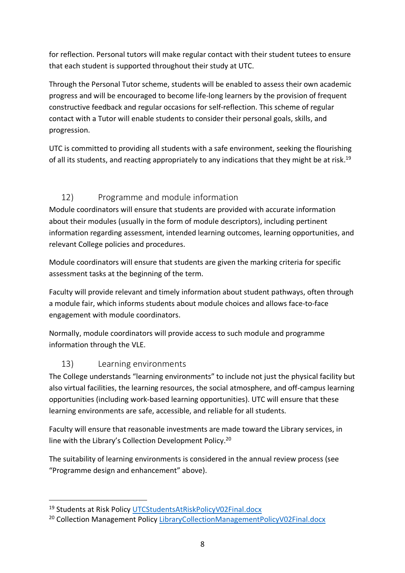for reflection. Personal tutors will make regular contact with their student tutees to ensure that each student is supported throughout their study at UTC.

Through the Personal Tutor scheme, students will be enabled to assess their own academic progress and will be encouraged to become life-long learners by the provision of frequent constructive feedback and regular occasions for self-reflection. This scheme of regular contact with a Tutor will enable students to consider their personal goals, skills, and progression.

UTC is committed to providing all students with a safe environment, seeking the flourishing of all its students, and reacting appropriately to any indications that they might be at risk.<sup>19</sup>

## 12) Programme and module information

Module coordinators will ensure that students are provided with accurate information about their modules (usually in the form of module descriptors), including pertinent information regarding assessment, intended learning outcomes, learning opportunities, and relevant College policies and procedures.

Module coordinators will ensure that students are given the marking criteria for specific assessment tasks at the beginning of the term.

Faculty will provide relevant and timely information about student pathways, often through a module fair, which informs students about module choices and allows face-to-face engagement with module coordinators.

Normally, module coordinators will provide access to such module and programme information through the VLE.

#### 13) Learning environments

The College understands "learning environments" to include not just the physical facility but also virtual facilities, the learning resources, the social atmosphere, and off-campus learning opportunities (including work-based learning opportunities). UTC will ensure that these learning environments are safe, accessible, and reliable for all students.

Faculty will ensure that reasonable investments are made toward the Library services, in line with the Library's Collection Development Policy.20

The suitability of learning environments is considered in the annual review process (see "Programme design and enhancement" above).

 <sup>19</sup> Students at Risk Policy UTCStudentsAtRiskPolicyV02Final.docx

<sup>&</sup>lt;sup>20</sup> Collection Management Policy LibraryCollectionManagementPolicyV02Final.docx